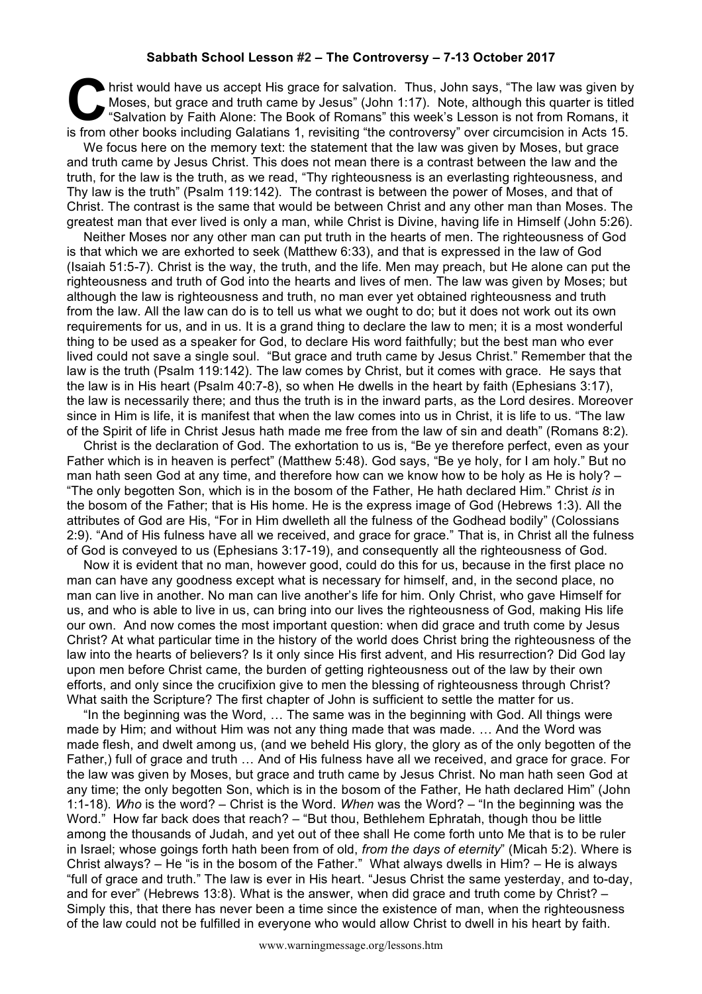## **Sabbath School Lesson #2 – The Controversy – 7-13 October 2017**

hrist would have us accept His grace for salvation. Thus, John says, "The law was given by Moses, but grace and truth came by Jesus" (John 1:17). Note, although this quarter is titled "Salvation by Faith Alone: The Book of Romans" this week's Lesson is not from Romans, it is from other books including Galatians 1, revisiting "the controversy" over circumcision in Acts 15. **C**<br>Mc

We focus here on the memory text: the statement that the law was given by Moses, but grace and truth came by Jesus Christ. This does not mean there is a contrast between the law and the truth, for the law is the truth, as we read, "Thy righteousness is an everlasting righteousness, and Thy law is the truth" (Psalm 119:142). The contrast is between the power of Moses, and that of Christ. The contrast is the same that would be between Christ and any other man than Moses. The greatest man that ever lived is only a man, while Christ is Divine, having life in Himself (John 5:26).

Neither Moses nor any other man can put truth in the hearts of men. The righteousness of God is that which we are exhorted to seek (Matthew 6:33), and that is expressed in the law of God (Isaiah 51:5-7). Christ is the way, the truth, and the life. Men may preach, but He alone can put the righteousness and truth of God into the hearts and lives of men. The law was given by Moses; but although the law is righteousness and truth, no man ever yet obtained righteousness and truth from the law. All the law can do is to tell us what we ought to do; but it does not work out its own requirements for us, and in us. It is a grand thing to declare the law to men; it is a most wonderful thing to be used as a speaker for God, to declare His word faithfully; but the best man who ever lived could not save a single soul. "But grace and truth came by Jesus Christ." Remember that the law is the truth (Psalm 119:142). The law comes by Christ, but it comes with grace. He says that the law is in His heart (Psalm 40:7-8), so when He dwells in the heart by faith (Ephesians 3:17), the law is necessarily there; and thus the truth is in the inward parts, as the Lord desires. Moreover since in Him is life, it is manifest that when the law comes into us in Christ, it is life to us. "The law of the Spirit of life in Christ Jesus hath made me free from the law of sin and death" (Romans 8:2).

Christ is the declaration of God. The exhortation to us is, "Be ye therefore perfect, even as your Father which is in heaven is perfect" (Matthew 5:48). God says, "Be ye holy, for I am holy." But no man hath seen God at any time, and therefore how can we know how to be holy as He is holy? – "The only begotten Son, which is in the bosom of the Father, He hath declared Him." Christ *is* in the bosom of the Father; that is His home. He is the express image of God (Hebrews 1:3). All the attributes of God are His, "For in Him dwelleth all the fulness of the Godhead bodily" (Colossians 2:9). "And of His fulness have all we received, and grace for grace." That is, in Christ all the fulness of God is conveyed to us (Ephesians 3:17-19), and consequently all the righteousness of God.

Now it is evident that no man, however good, could do this for us, because in the first place no man can have any goodness except what is necessary for himself, and, in the second place, no man can live in another. No man can live another's life for him. Only Christ, who gave Himself for us, and who is able to live in us, can bring into our lives the righteousness of God, making His life our own. And now comes the most important question: when did grace and truth come by Jesus Christ? At what particular time in the history of the world does Christ bring the righteousness of the law into the hearts of believers? Is it only since His first advent, and His resurrection? Did God lay upon men before Christ came, the burden of getting righteousness out of the law by their own efforts, and only since the crucifixion give to men the blessing of righteousness through Christ? What saith the Scripture? The first chapter of John is sufficient to settle the matter for us.

"In the beginning was the Word, … The same was in the beginning with God. All things were made by Him; and without Him was not any thing made that was made. … And the Word was made flesh, and dwelt among us, (and we beheld His glory, the glory as of the only begotten of the Father,) full of grace and truth … And of His fulness have all we received, and grace for grace. For the law was given by Moses, but grace and truth came by Jesus Christ. No man hath seen God at any time; the only begotten Son, which is in the bosom of the Father, He hath declared Him" (John 1:1-18). *Who* is the word? – Christ is the Word. *When* was the Word? – "In the beginning was the Word." How far back does that reach? – "But thou, Bethlehem Ephratah, though thou be little among the thousands of Judah, and yet out of thee shall He come forth unto Me that is to be ruler in Israel; whose goings forth hath been from of old, *from the days of eternity*" (Micah 5:2). Where is Christ always? – He "is in the bosom of the Father." What always dwells in Him? – He is always "full of grace and truth." The law is ever in His heart. "Jesus Christ the same yesterday, and to-day, and for ever" (Hebrews 13:8). What is the answer, when did grace and truth come by Christ? – Simply this, that there has never been a time since the existence of man, when the righteousness of the law could not be fulfilled in everyone who would allow Christ to dwell in his heart by faith.